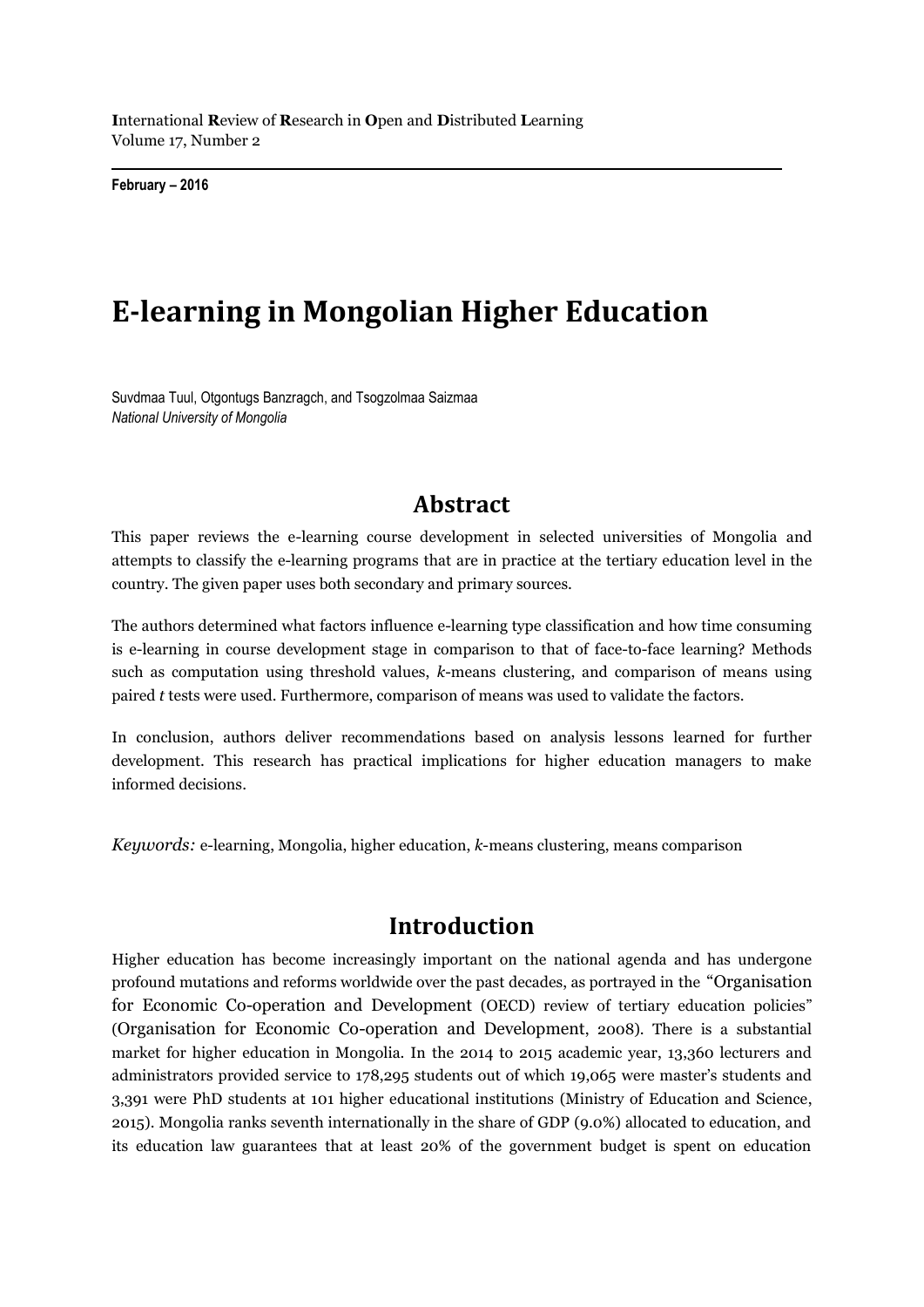**I**nternational **R**eview of **R**esearch in **O**pen and **D**istributed **L**earning Volume 17, Number 2

**February – 2016**

# **E-learning in Mongolian Higher Education**

Suvdmaa Tuul, Otgontugs Banzragch, and Tsogzolmaa Saizmaa *National University of Mongolia*

## **Abstract**

This paper reviews the e-learning course development in selected universities of Mongolia and attempts to classify the e-learning programs that are in practice at the tertiary education level in the country. The given paper uses both secondary and primary sources.

The authors determined what factors influence e-learning type classification and how time consuming is e-learning in course development stage in comparison to that of face-to-face learning? Methods such as computation using threshold values, *k*-means clustering, and comparison of means using paired *t* tests were used. Furthermore, comparison of means was used to validate the factors.

In conclusion, authors deliver recommendations based on analysis lessons learned for further development. This research has practical implications for higher education managers to make informed decisions.

*Keywords:* e-learning, Mongolia, higher education, *k*-means clustering, means comparison

## **Introduction**

Higher education has become increasingly important on the national agenda and has undergone profound mutations and reforms worldwide over the past decades, as portrayed in the "Organisation for Economic Co-operation and Development (OECD) review of tertiary education policies" (Organisation for Economic Co-operation and Development, 2008). There is a substantial market for higher education in Mongolia. In the 2014 to 2015 academic year, 13,360 lecturers and administrators provided service to 178,295 students out of which 19,065 were master's students and 3,391 were PhD students at 101 higher educational institutions (Ministry of Education and Science, 2015). Mongolia ranks seventh internationally in the share of GDP (9.0%) allocated to education, and its education law guarantees that at least 20% of the government budget is spent on education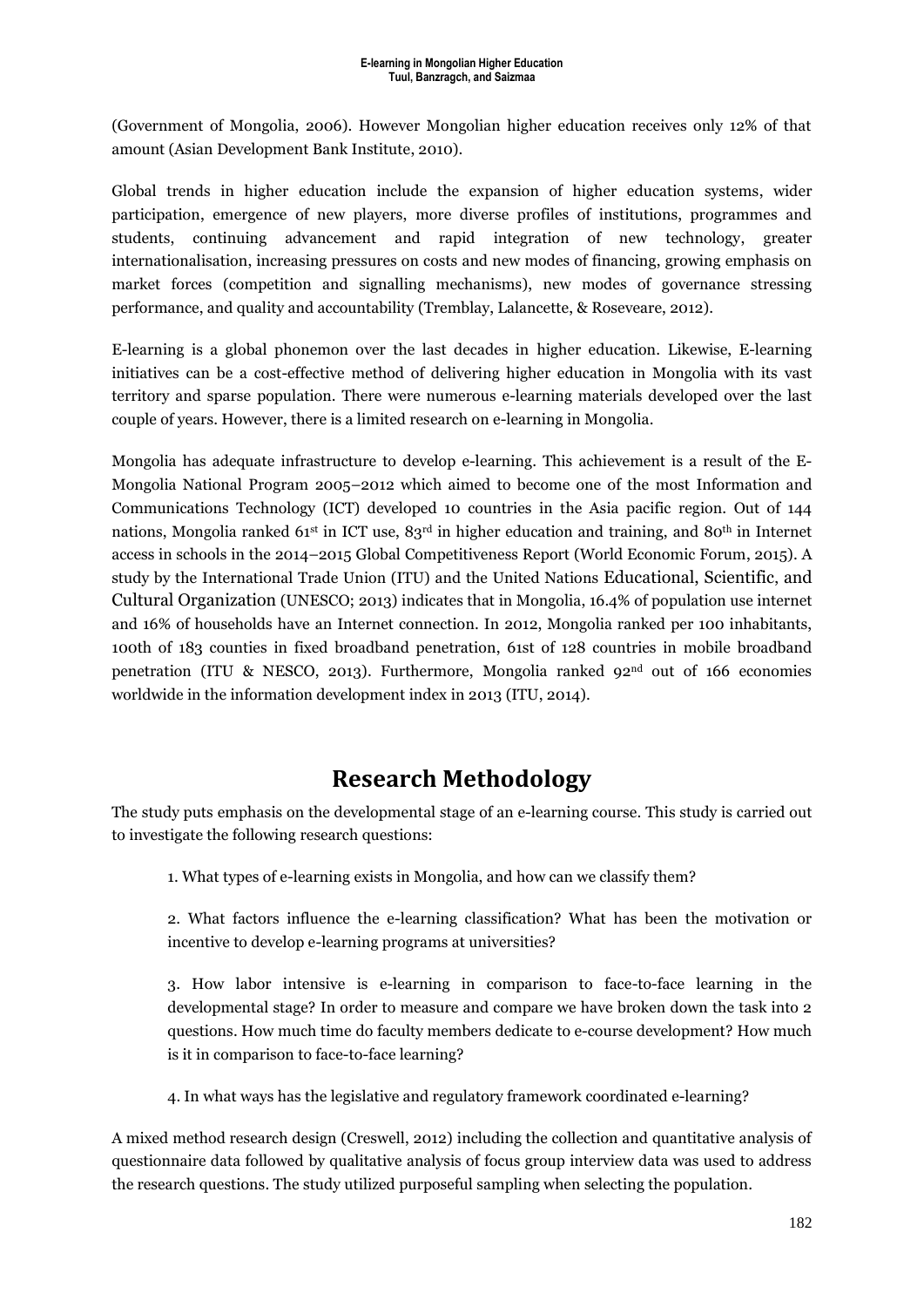(Government of Mongolia, 2006). However Mongolian higher education receives only 12% of that amount (Asian Development Bank Institute, 2010).

Global trends in higher education include the expansion of higher education systems, wider participation, emergence of new players, more diverse profiles of institutions, programmes and students, continuing advancement and rapid integration of new technology, greater internationalisation, increasing pressures on costs and new modes of financing, growing emphasis on market forces (competition and signalling mechanisms), new modes of governance stressing performance, and quality and accountability (Tremblay, Lalancette, & Roseveare, 2012).

E-learning is a global phonemon over the last decades in higher education. Likewise, E-learning initiatives can be a cost-effective method of delivering higher education in Mongolia with its vast territory and sparse population. There were numerous e-learning materials developed over the last couple of years. However, there is a limited research on e-learning in Mongolia.

Mongolia has adequate infrastructure to develop e-learning. This achievement is a result of the E-Mongolia National Program 2005–2012 which aimed to become one of the most Information and Communications Technology (ICT) developed 10 countries in the Asia pacific region. Out of 144 nations, Mongolia ranked 61st in ICT use, 83rd in higher education and training, and 80th in Internet access in schools in the 2014–2015 Global Competitiveness Report (World Economic Forum, 2015). A study by the International Trade Union (ITU) and the United Nations Educational, Scientific, and Cultural Organization (UNESCO; 2013) indicates that in Mongolia, 16.4% of population use internet and 16% of households have an Internet connection. In 2012, Mongolia ranked per 100 inhabitants, 100th of 183 counties in fixed broadband penetration, 61st of 128 countries in mobile broadband penetration (ITU & NESCO, 2013). Furthermore, Mongolia ranked  $92<sup>nd</sup>$  out of 166 economies worldwide in the information development index in 2013 (ITU, 2014).

## **Research Methodology**

The study puts emphasis on the developmental stage of an e-learning course. This study is carried out to investigate the following research questions:

1. What types of e-learning exists in Mongolia, and how can we classify them?

2. What factors influence the e-learning classification? What has been the motivation or incentive to develop e-learning programs at universities?

3. How labor intensive is e-learning in comparison to face-to-face learning in the developmental stage? In order to measure and compare we have broken down the task into 2 questions. How much time do faculty members dedicate to e-course development? How much is it in comparison to face-to-face learning?

4. In what ways has the legislative and regulatory framework coordinated e-learning?

A mixed method research design (Creswell, 2012) including the collection and quantitative analysis of questionnaire data followed by qualitative analysis of focus group interview data was used to address the research questions. The study utilized purposeful sampling when selecting the population.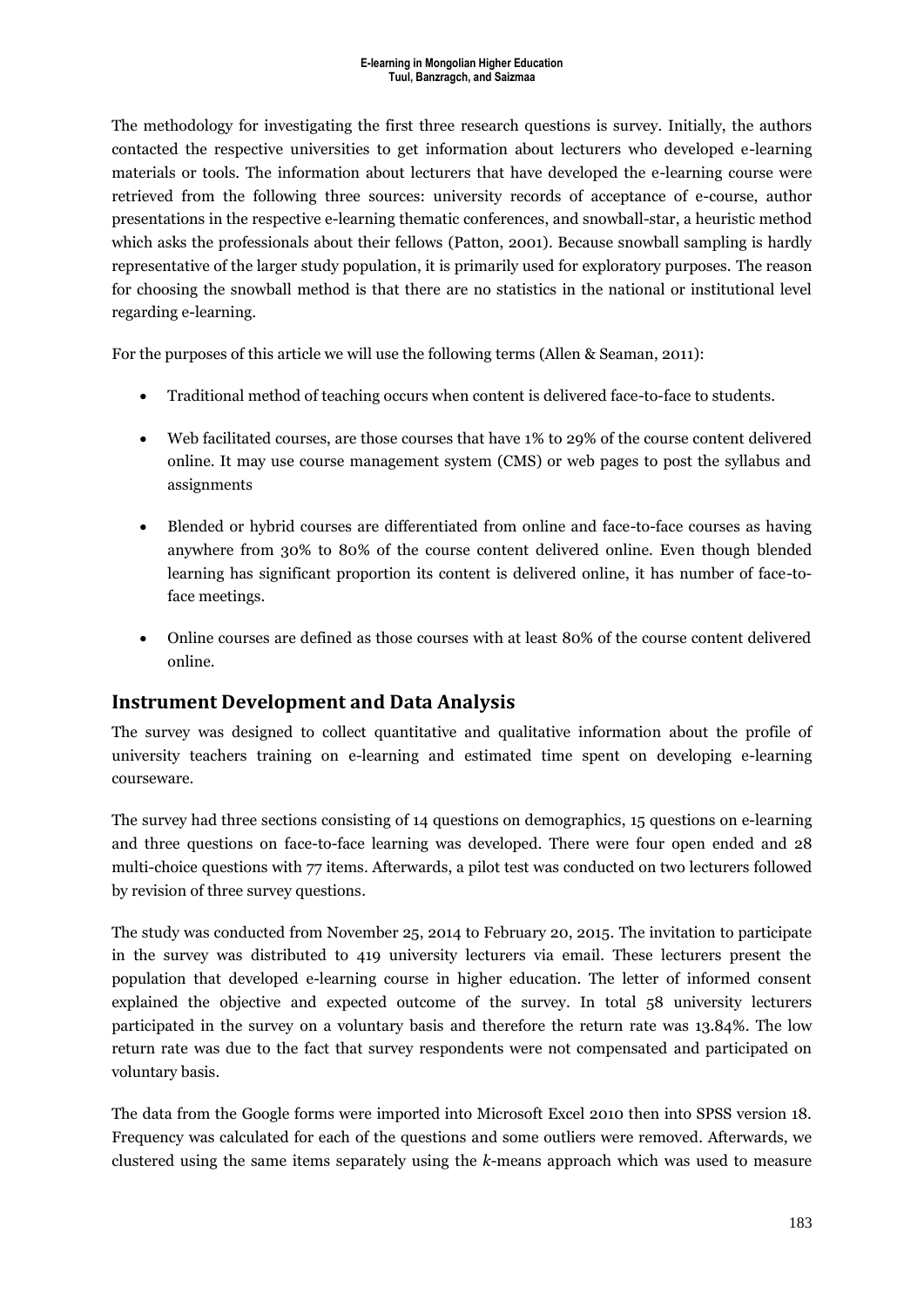The methodology for investigating the first three research questions is survey. Initially, the authors contacted the respective universities to get information about lecturers who developed e-learning materials or tools. The information about lecturers that have developed the e-learning course were retrieved from the following three sources: university records of acceptance of e-course, author presentations in the respective e-learning thematic conferences, and snowball-star, a heuristic method which asks the professionals about their fellows (Patton, 2001). Because snowball sampling is hardly representative of the larger study population, it is primarily used for exploratory purposes. The reason for choosing the snowball method is that there are no statistics in the national or institutional level regarding e-learning.

For the purposes of this article we will use the following terms (Allen & Seaman, 2011):

- Traditional method of teaching occurs when content is delivered face-to-face to students.
- Web facilitated courses, are those courses that have 1% to 29% of the course content delivered online. It may use course management system (CMS) or web pages to post the syllabus and assignments
- Blended or hybrid courses are differentiated from online and face-to-face courses as having anywhere from 30% to 80% of the course content delivered online. Even though blended learning has significant proportion its content is delivered online, it has number of face-toface meetings.
- Online courses are defined as those courses with at least 80% of the course content delivered online.

### **Instrument Development and Data Analysis**

The survey was designed to collect quantitative and qualitative information about the profile of university teachers training on e-learning and estimated time spent on developing e-learning courseware.

The survey had three sections consisting of 14 questions on demographics, 15 questions on e-learning and three questions on face-to-face learning was developed. There were four open ended and 28 multi-choice questions with 77 items. Afterwards, a pilot test was conducted on two lecturers followed by revision of three survey questions.

The study was conducted from November 25, 2014 to February 20, 2015. The invitation to participate in the survey was distributed to 419 university lecturers via email. These lecturers present the population that developed e-learning course in higher education. The letter of informed consent explained the objective and expected outcome of the survey. In total 58 university lecturers participated in the survey on a voluntary basis and therefore the return rate was 13.84%. The low return rate was due to the fact that survey respondents were not compensated and participated on voluntary basis.

The data from the Google forms were imported into Microsoft Excel 2010 then into SPSS version 18. Frequency was calculated for each of the questions and some outliers were removed. Afterwards, we clustered using the same items separately using the *k*-means approach which was used to measure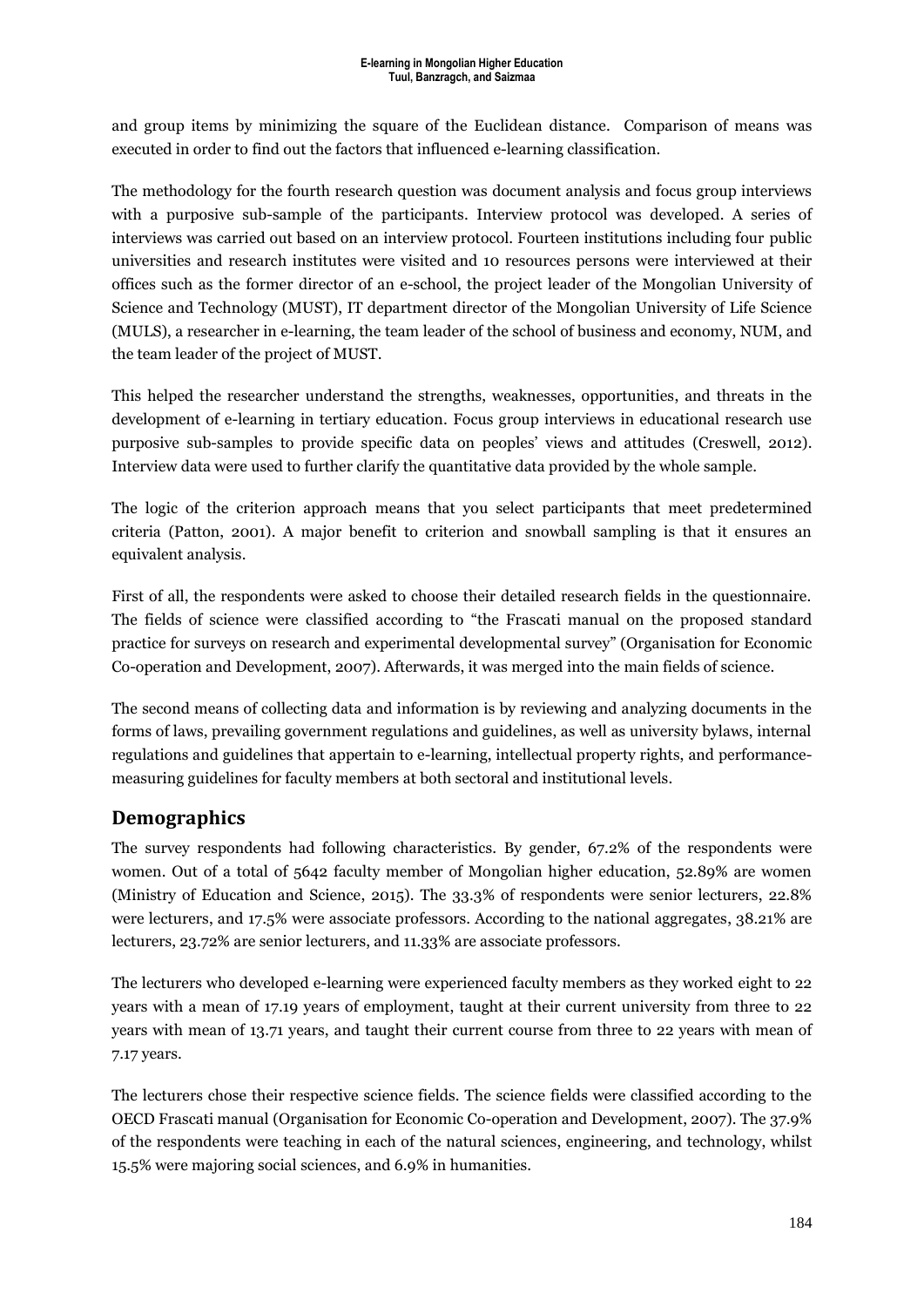and group items by minimizing the square of the Euclidean distance. Comparison of means was executed in order to find out the factors that influenced e-learning classification.

The methodology for the fourth research question was document analysis and focus group interviews with a purposive sub-sample of the participants. Interview protocol was developed. A series of interviews was carried out based on an interview protocol. Fourteen institutions including four public universities and research institutes were visited and 10 resources persons were interviewed at their offices such as the former director of an e-school, the project leader of the Mongolian University of Science and Technology (MUST), IT department director of the Mongolian University of Life Science (MULS), a researcher in e-learning, the team leader of the school of business and economy, NUM, and the team leader of the project of MUST.

This helped the researcher understand the strengths, weaknesses, opportunities, and threats in the development of e-learning in tertiary education. Focus group interviews in educational research use purposive sub-samples to provide specific data on peoples' views and attitudes (Creswell, 2012). Interview data were used to further clarify the quantitative data provided by the whole sample.

The logic of the criterion approach means that you select participants that meet predetermined criteria (Patton, 2001). A major benefit to criterion and snowball sampling is that it ensures an equivalent analysis.

First of all, the respondents were asked to choose their detailed research fields in the questionnaire. The fields of science were classified according to "the Frascati manual on the proposed standard practice for surveys on research and experimental developmental survey" (Organisation for Economic Co-operation and Development, 2007). Afterwards, it was merged into the main fields of science.

The second means of collecting data and information is by reviewing and analyzing documents in the forms of laws, prevailing government regulations and guidelines, as well as university bylaws, internal regulations and guidelines that appertain to e-learning, intellectual property rights, and performancemeasuring guidelines for faculty members at both sectoral and institutional levels.

## **Demographics**

The survey respondents had following characteristics. By gender, 67.2% of the respondents were women. Out of a total of 5642 faculty member of Mongolian higher education, 52.89% are women (Ministry of Education and Science, 2015). The 33.3% of respondents were senior lecturers, 22.8% were lecturers, and 17.5% were associate professors. According to the national aggregates, 38.21% are lecturers, 23.72% are senior lecturers, and 11.33% are associate professors.

The lecturers who developed e-learning were experienced faculty members as they worked eight to 22 years with a mean of 17.19 years of employment, taught at their current university from three to 22 years with mean of 13.71 years, and taught their current course from three to 22 years with mean of 7.17 years.

The lecturers chose their respective science fields. The science fields were classified according to the OECD Frascati manual (Organisation for Economic Co-operation and Development, 2007). The 37.9% of the respondents were teaching in each of the natural sciences, engineering, and technology, whilst 15.5% were majoring social sciences, and 6.9% in humanities.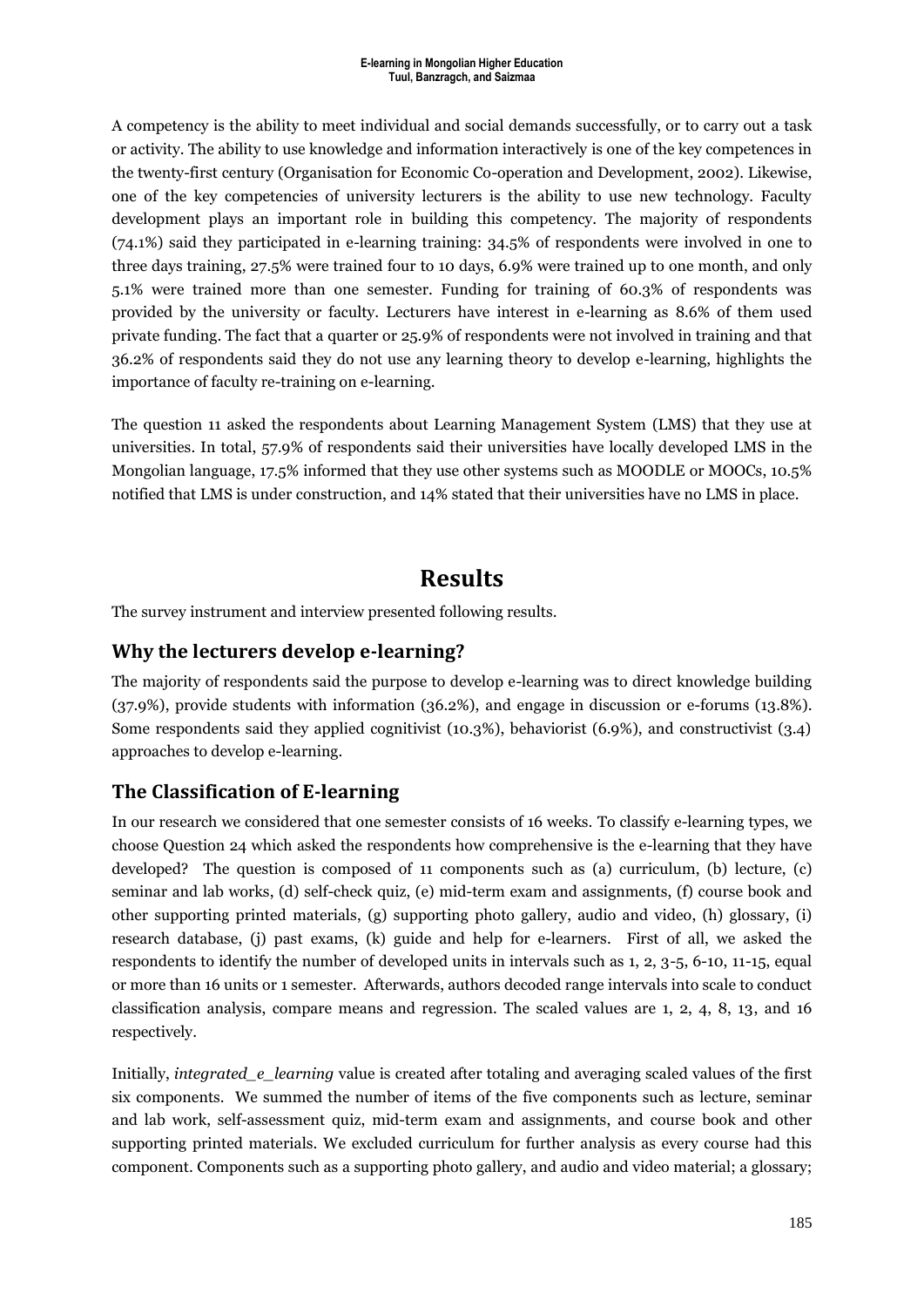A competency is the ability to meet individual and social demands successfully, or to carry out a task or activity. The ability to use knowledge and information interactively is one of the key competences in the twenty-first century (Organisation for Economic Co-operation and Development, 2002). Likewise, one of the key competencies of university lecturers is the ability to use new technology. Faculty development plays an important role in building this competency. The majority of respondents (74.1%) said they participated in e-learning training: 34.5% of respondents were involved in one to three days training, 27.5% were trained four to 10 days, 6.9% were trained up to one month, and only 5.1% were trained more than one semester. Funding for training of 60.3% of respondents was provided by the university or faculty. Lecturers have interest in e-learning as 8.6% of them used private funding. The fact that a quarter or 25.9% of respondents were not involved in training and that 36.2% of respondents said they do not use any learning theory to develop e-learning, highlights the importance of faculty re-training on e-learning.

The question 11 asked the respondents about Learning Management System (LMS) that they use at universities. In total, 57.9% of respondents said their universities have locally developed LMS in the Mongolian language, 17.5% informed that they use other systems such as MOODLE or MOOCs, 10.5% notified that LMS is under construction, and 14% stated that their universities have no LMS in place.

## **Results**

The survey instrument and interview presented following results.

### **Why the lecturers develop e-learning?**

The majority of respondents said the purpose to develop e-learning was to direct knowledge building (37.9%), provide students with information (36.2%), and engage in discussion or e-forums (13.8%). Some respondents said they applied cognitivist (10.3%), behaviorist (6.9%), and constructivist (3.4) approaches to develop e-learning.

## **The Classification of E-learning**

In our research we considered that one semester consists of 16 weeks. To classify e-learning types, we choose Question 24 which asked the respondents how comprehensive is the e-learning that they have developed? The question is composed of 11 components such as (a) curriculum, (b) lecture, (c) seminar and lab works, (d) self-check quiz, (e) mid-term exam and assignments, (f) course book and other supporting printed materials, (g) supporting photo gallery, audio and video, (h) glossary, (i) research database, (j) past exams, (k) guide and help for e-learners. First of all, we asked the respondents to identify the number of developed units in intervals such as 1, 2, 3-5, 6-10, 11-15, equal or more than 16 units or 1 semester. Afterwards, authors decoded range intervals into scale to conduct classification analysis, compare means and regression. The scaled values are 1, 2, 4, 8, 13, and 16 respectively.

Initially, *integrated\_e\_learning* value is created after totaling and averaging scaled values of the first six components. We summed the number of items of the five components such as lecture, seminar and lab work, self-assessment quiz, mid-term exam and assignments, and course book and other supporting printed materials. We excluded curriculum for further analysis as every course had this component. Components such as a supporting photo gallery, and audio and video material; a glossary;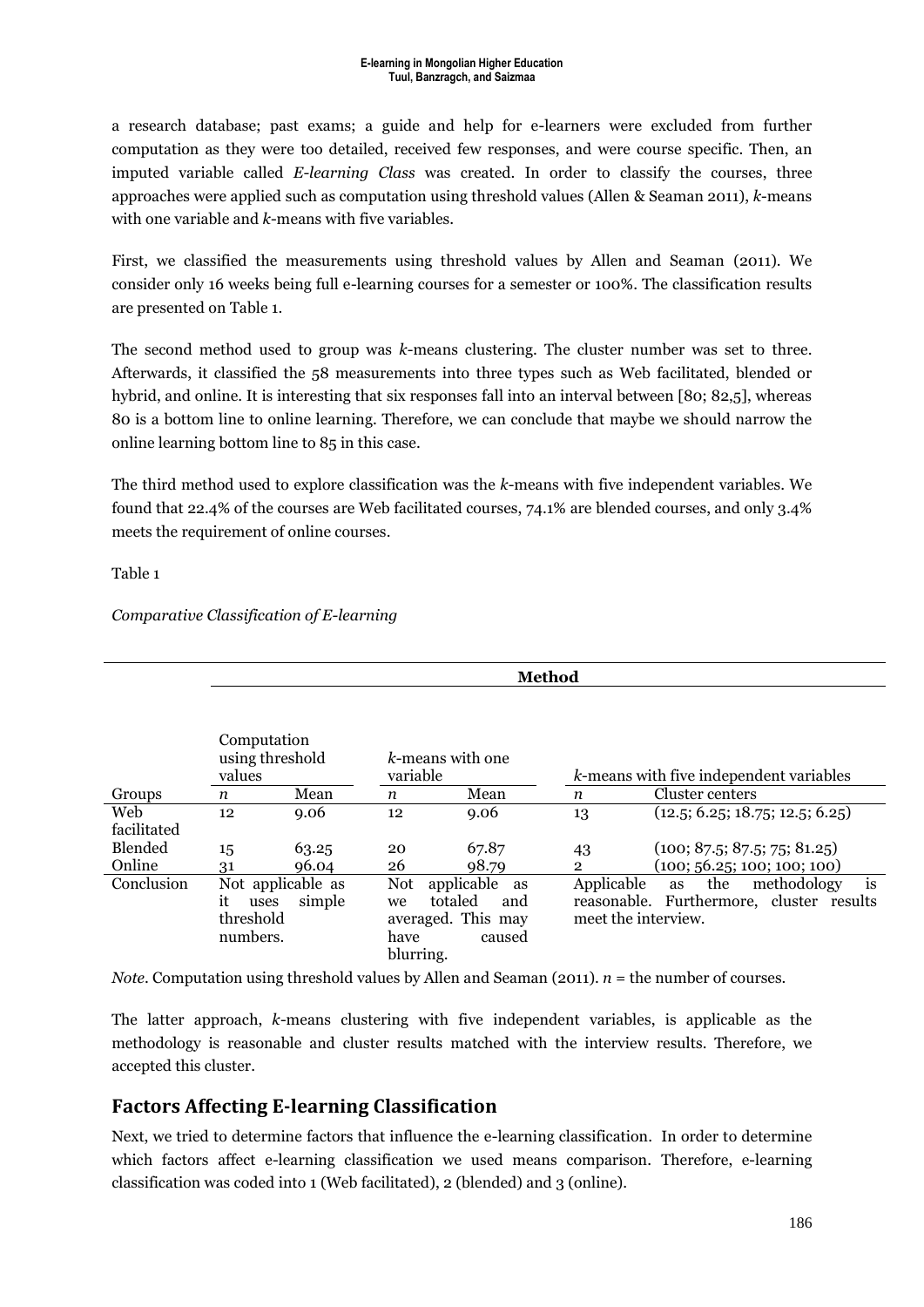a research database; past exams; a guide and help for e-learners were excluded from further computation as they were too detailed, received few responses, and were course specific. Then, an imputed variable called *E-learning Class* was created. In order to classify the courses, three approaches were applied such as computation using threshold values (Allen & Seaman 2011), *k*-means with one variable and *k*-means with five variables.

First, we classified the measurements using threshold values by Allen and Seaman (2011). We consider only 16 weeks being full e-learning courses for a semester or 100%. The classification results are presented on Table 1.

The second method used to group was *k*-means clustering. The cluster number was set to three. Afterwards, it classified the 58 measurements into three types such as Web facilitated, blended or hybrid, and online. It is interesting that six responses fall into an interval between [80; 82,5], whereas 80 is a bottom line to online learning. Therefore, we can conclude that maybe we should narrow the online learning bottom line to 85 in this case.

The third method used to explore classification was the *k*-means with five independent variables. We found that 22.4% of the courses are Web facilitated courses, 74.1% are blended courses, and only 3.4% meets the requirement of online courses.

Table 1

|             |                                                          |        |                                | <b>Method</b>                                                      |                                   |                                                                            |
|-------------|----------------------------------------------------------|--------|--------------------------------|--------------------------------------------------------------------|-----------------------------------|----------------------------------------------------------------------------|
|             | Computation<br>using threshold<br>values                 |        | k-means with one<br>variable   |                                                                    |                                   | k-means with five independent variables                                    |
| Groups      | $\boldsymbol{n}$                                         | Mean   | $\boldsymbol{n}$               | Mean                                                               | n                                 | Cluster centers                                                            |
| Web         | 12                                                       | 9.06   | 12                             | 9.06                                                               | 13                                | (12.5; 6.25; 18.75; 12.5; 6.25)                                            |
| facilitated |                                                          |        |                                |                                                                    |                                   |                                                                            |
| Blended     | 15                                                       | 63.25  | 20                             | 67.87                                                              | 43                                | (100; 87.5; 87.5; 75; 81.25)                                               |
| Online      | 31                                                       | 96.04  | 26                             | 98.79                                                              | $\overline{2}$                    | (100; 56.25; 100; 100; 100)                                                |
| Conclusion  | Not applicable as<br>it<br>uses<br>threshold<br>numbers. | simple | Not<br>we<br>have<br>blurring. | applicable<br>as<br>totaled<br>and<br>averaged. This may<br>caused | Applicable<br>meet the interview. | is<br>the<br>methodology<br>as<br>reasonable. Furthermore, cluster results |

*Comparative Classification of E-learning*

*Note*. Computation using threshold values by Allen and Seaman (2011). *n* = the number of courses.

The latter approach, *k*-means clustering with five independent variables, is applicable as the methodology is reasonable and cluster results matched with the interview results. Therefore, we accepted this cluster.

## **Factors Affecting E-learning Classification**

Next, we tried to determine factors that influence the e-learning classification. In order to determine which factors affect e-learning classification we used means comparison. Therefore, e-learning classification was coded into 1 (Web facilitated), 2 (blended) and 3 (online).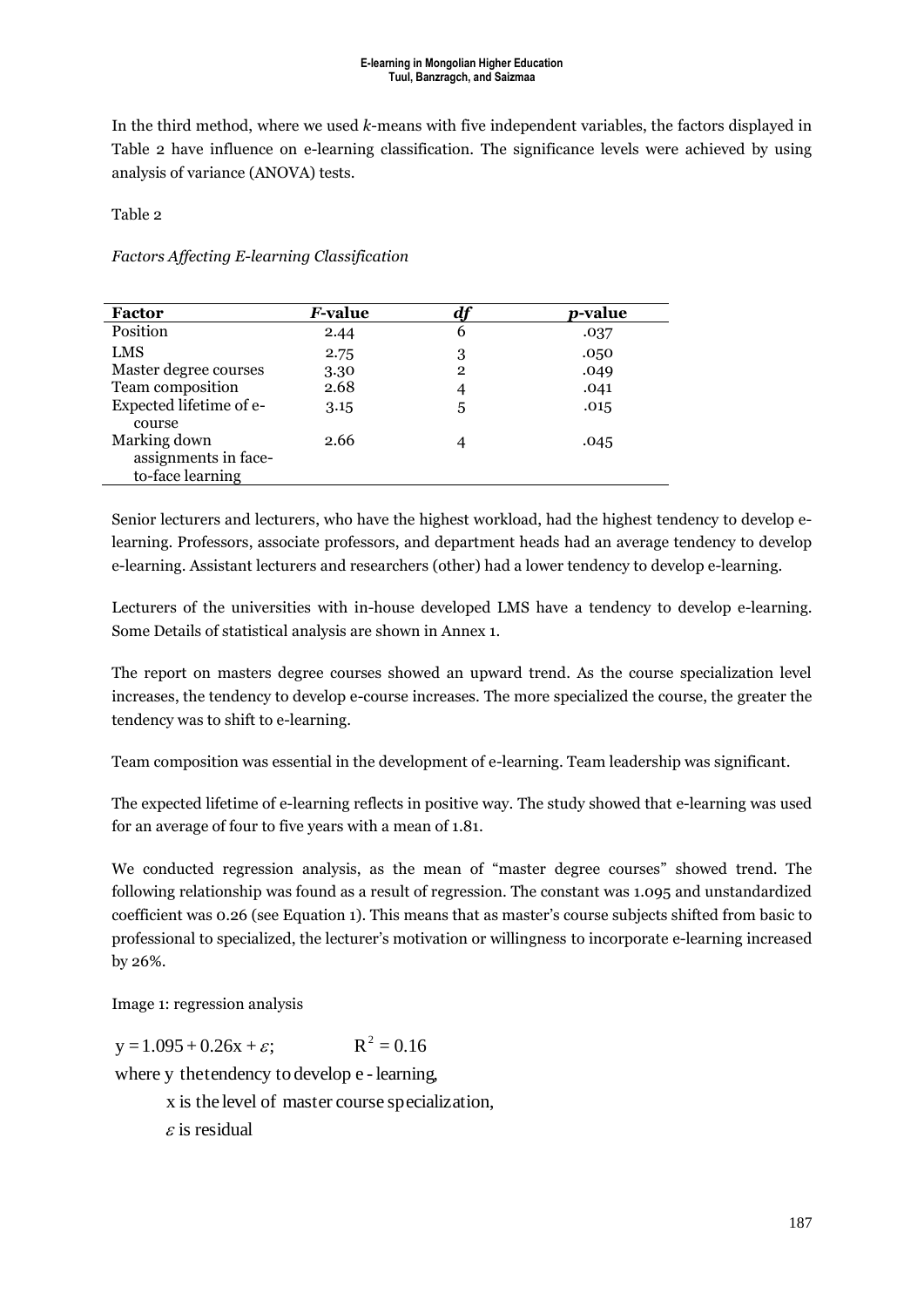In the third method, where we used *k*-means with five independent variables, the factors displayed in Table 2 have influence on e-learning classification. The significance levels were achieved by using analysis of variance (ANOVA) tests.

Table 2

*Factors Affecting E-learning Classification*

| <b>Factor</b>                                            | <i>F</i> -value |              | <i>p</i> -value |
|----------------------------------------------------------|-----------------|--------------|-----------------|
| Position                                                 | 2.44            | 6            | .037            |
| <b>LMS</b>                                               | 2.75            | 3            | .050            |
| Master degree courses                                    | 3.30            | $\mathbf{2}$ | .049            |
| Team composition                                         | 2.68            | 4            | .041            |
| Expected lifetime of e-<br>course                        | 3.15            | 5            | .015            |
| Marking down<br>assignments in face-<br>to-face learning | 2.66            | 4            | .045            |

Senior lecturers and lecturers, who have the highest workload, had the highest tendency to develop elearning. Professors, associate professors, and department heads had an average tendency to develop e-learning. Assistant lecturers and researchers (other) had a lower tendency to develop e-learning.

Lecturers of the universities with in-house developed LMS have a tendency to develop e-learning. Some Details of statistical analysis are shown in Annex 1.

The report on masters degree courses showed an upward trend. As the course specialization level increases, the tendency to develop e-course increases. The more specialized the course, the greater the tendency was to shift to e-learning.

Team composition was essential in the development of e-learning. Team leadership was significant.

The expected lifetime of e-learning reflects in positive way. The study showed that e-learning was used for an average of four to five years with a mean of 1.81.

We conducted regression analysis, as the mean of "master degree courses" showed trend. The following relationship was found as a result of regression. The constant was 1.095 and unstandardized coefficient was 0.26 (see Equation 1). This means that as master's course subjects shifted from basic to professional to specialized, the lecturer's motivation or willingness to incorporate e-learning increased by 26%.

Image 1: regression analysis

 $y = 1.095 + 0.26x + \varepsilon$ ;  $R^2 = 0.16$ <br>where y the tendency to develop e - learning,  $y = 1.095 + 0.26x + \varepsilon$ ;  $R^2 = 0.16$ 

x is the level of master course specialization,

 $\varepsilon$  is residual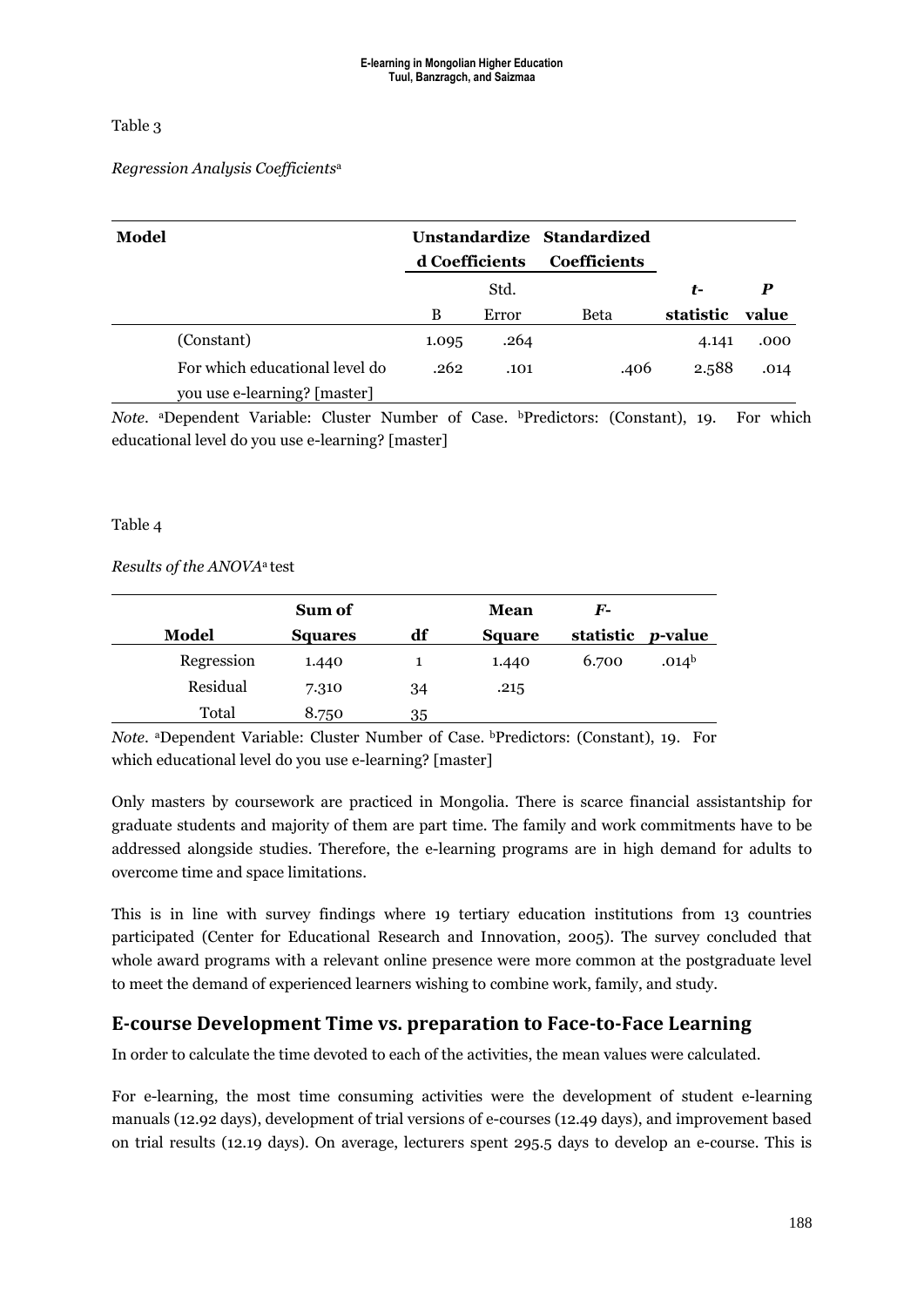Table 3

#### *Regression Analysis Coefficients*<sup>a</sup>

| Model                                                          | d Coefficients |       | Unstandardize Standardized<br><b>Coefficients</b> |           |       |
|----------------------------------------------------------------|----------------|-------|---------------------------------------------------|-----------|-------|
|                                                                |                | Std.  |                                                   | t-        | P     |
|                                                                | B              | Error | Beta                                              | statistic | value |
| (Constant)                                                     | 1.095          | .264  |                                                   | 4.141     | .000  |
| For which educational level do<br>you use e-learning? [master] | .262           | .101  | .406                                              | 2.588     | .014  |

Note. <sup>a</sup>Dependent Variable: Cluster Number of Case. *bPredictors:* (Constant), 19. For which educational level do you use e-learning? [master]

#### Table 4

#### *Results of the ANOVA*<sup>a</sup> test

|            | Sum of         |    | Mean   | $\bm{F}$ - |                   |
|------------|----------------|----|--------|------------|-------------------|
| Model      | <b>Squares</b> | df | Square | statistic  | <i>p</i> -value   |
| Regression | 1.440          |    | 1.440  | 6.700      | .014 <sup>b</sup> |
| Residual   | 7.310          | 34 | .215   |            |                   |
| Total      | 8.750          | 35 |        |            |                   |

*Note*. <sup>a</sup>Dependent Variable: Cluster Number of Case. **bPredictors:** (Constant), 19. For which educational level do you use e-learning? [master]

Only masters by coursework are practiced in Mongolia. There is scarce financial assistantship for graduate students and majority of them are part time. The family and work commitments have to be addressed alongside studies. Therefore, the e-learning programs are in high demand for adults to overcome time and space limitations.

This is in line with survey findings where 19 tertiary education institutions from 13 countries participated (Center for Educational Research and Innovation, 2005). The survey concluded that whole award programs with a relevant online presence were more common at the postgraduate level to meet the demand of experienced learners wishing to combine work, family, and study.

## **E-course Development Time vs. preparation to Face-to-Face Learning**

In order to calculate the time devoted to each of the activities, the mean values were calculated.

For e-learning, the most time consuming activities were the development of student e-learning manuals (12.92 days), development of trial versions of e-courses (12.49 days), and improvement based on trial results (12.19 days). On average, lecturers spent 295.5 days to develop an e-course. This is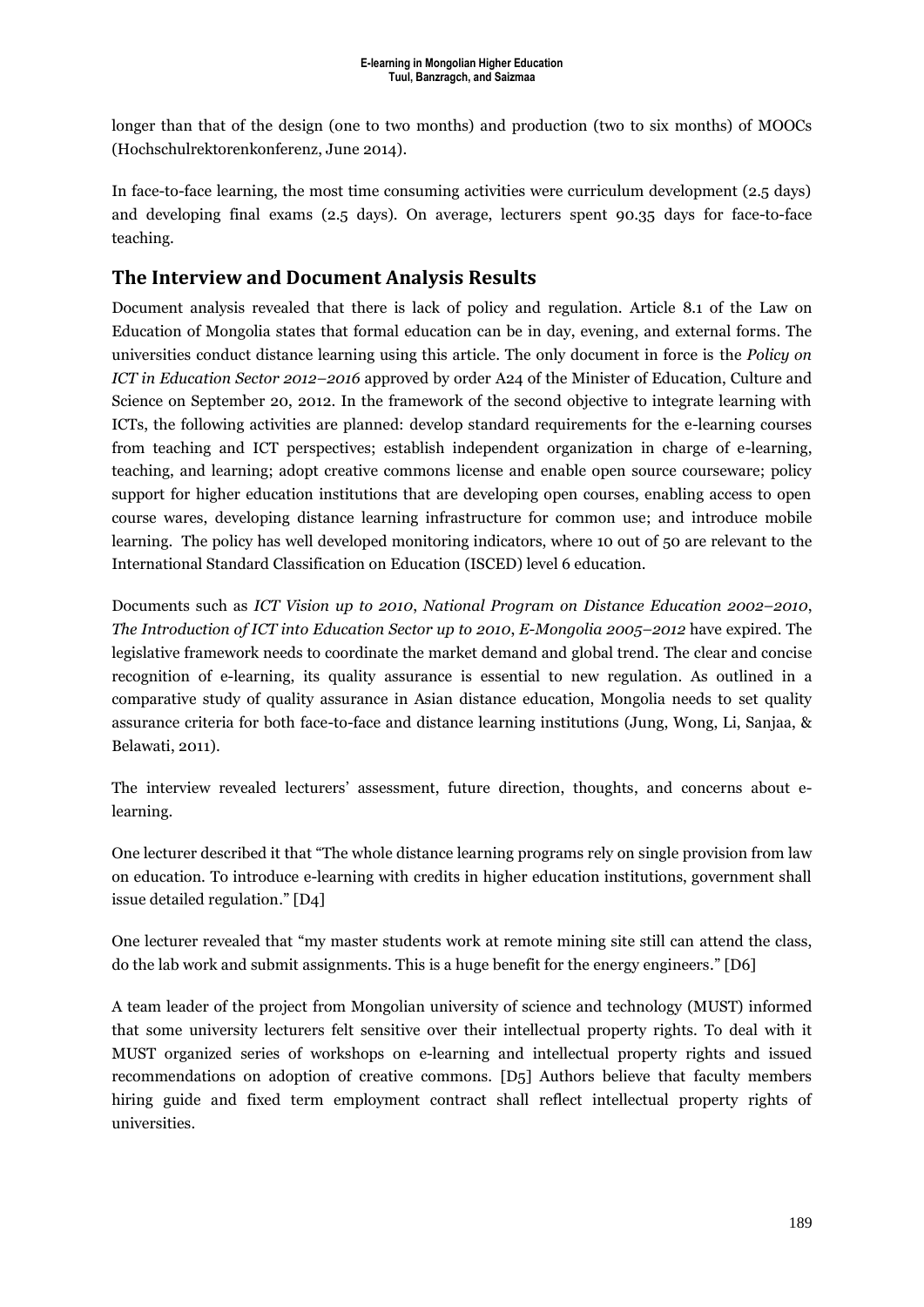longer than that of the design (one to two months) and production (two to six months) of MOOCs (Hochschulrektorenkonferenz, June 2014).

In face-to-face learning, the most time consuming activities were curriculum development (2.5 days) and developing final exams (2.5 days). On average, lecturers spent 90.35 days for face-to-face teaching.

## **The Interview and Document Analysis Results**

Document analysis revealed that there is lack of policy and regulation. Article 8.1 of the Law on Education of Mongolia states that formal education can be in day, evening, and external forms. The universities conduct distance learning using this article. The only document in force is the *Policy on ICT in Education Sector 2012–2016* approved by order A24 of the Minister of Education, Culture and Science on September 20, 2012. In the framework of the second objective to integrate learning with ICTs, the following activities are planned: develop standard requirements for the e-learning courses from teaching and ICT perspectives; establish independent organization in charge of e-learning, teaching, and learning; adopt creative commons license and enable open source courseware; policy support for higher education institutions that are developing open courses, enabling access to open course wares, developing distance learning infrastructure for common use; and introduce mobile learning. The policy has well developed monitoring indicators, where 10 out of 50 are relevant to the International Standard Classification on Education (ISCED) level 6 education.

Documents such as *ICT Vision up to 2010*, *National Program on Distance Education 2002–2010*, *The Introduction of ICT into Education Sector up to 2010*, *E-Mongolia 2005–2012* have expired. The legislative framework needs to coordinate the market demand and global trend. The clear and concise recognition of e-learning, its quality assurance is essential to new regulation. As outlined in a comparative study of quality assurance in Asian distance education, Mongolia needs to set quality assurance criteria for both face-to-face and distance learning institutions (Jung, Wong, Li, Sanjaa, & Belawati, 2011).

The interview revealed lecturers' assessment, future direction, thoughts, and concerns about elearning.

One lecturer described it that "The whole distance learning programs rely on single provision from law on education. To introduce e-learning with credits in higher education institutions, government shall issue detailed regulation." [D4]

One lecturer revealed that "my master students work at remote mining site still can attend the class, do the lab work and submit assignments. This is a huge benefit for the energy engineers." [D6]

A team leader of the project from Mongolian university of science and technology (MUST) informed that some university lecturers felt sensitive over their intellectual property rights. To deal with it MUST organized series of workshops on e-learning and intellectual property rights and issued recommendations on adoption of creative commons. [D5] Authors believe that faculty members hiring guide and fixed term employment contract shall reflect intellectual property rights of universities.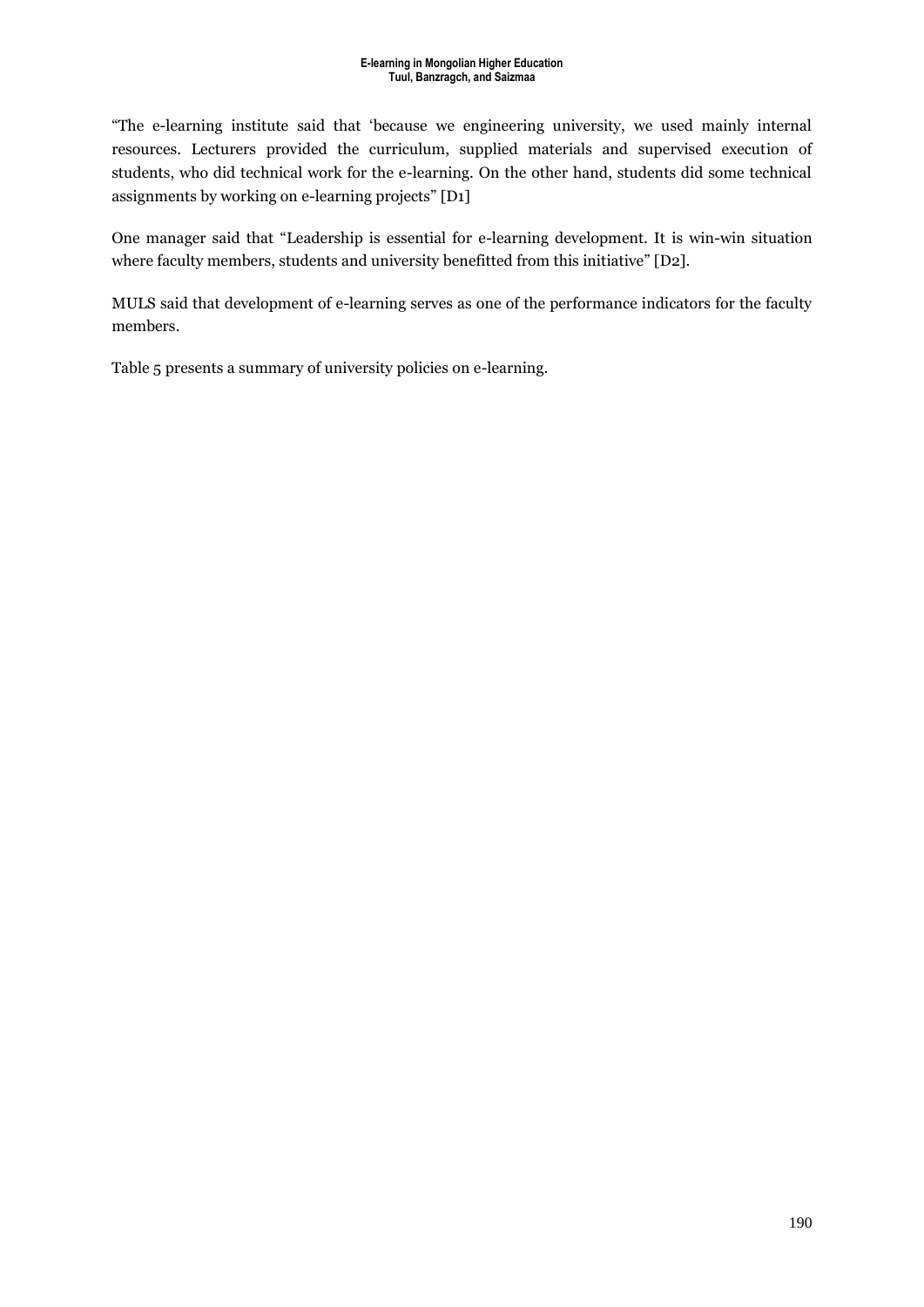"The e-learning institute said that 'because we engineering university, we used mainly internal resources. Lecturers provided the curriculum, supplied materials and supervised execution of students, who did technical work for the e-learning. On the other hand, students did some technical assignments by working on e-learning projects" [D1]

One manager said that "Leadership is essential for e-learning development. It is win-win situation where faculty members, students and university benefitted from this initiative" [D2].

MULS said that development of e-learning serves as one of the performance indicators for the faculty members.

Table 5 presents a summary of university policies on e-learning.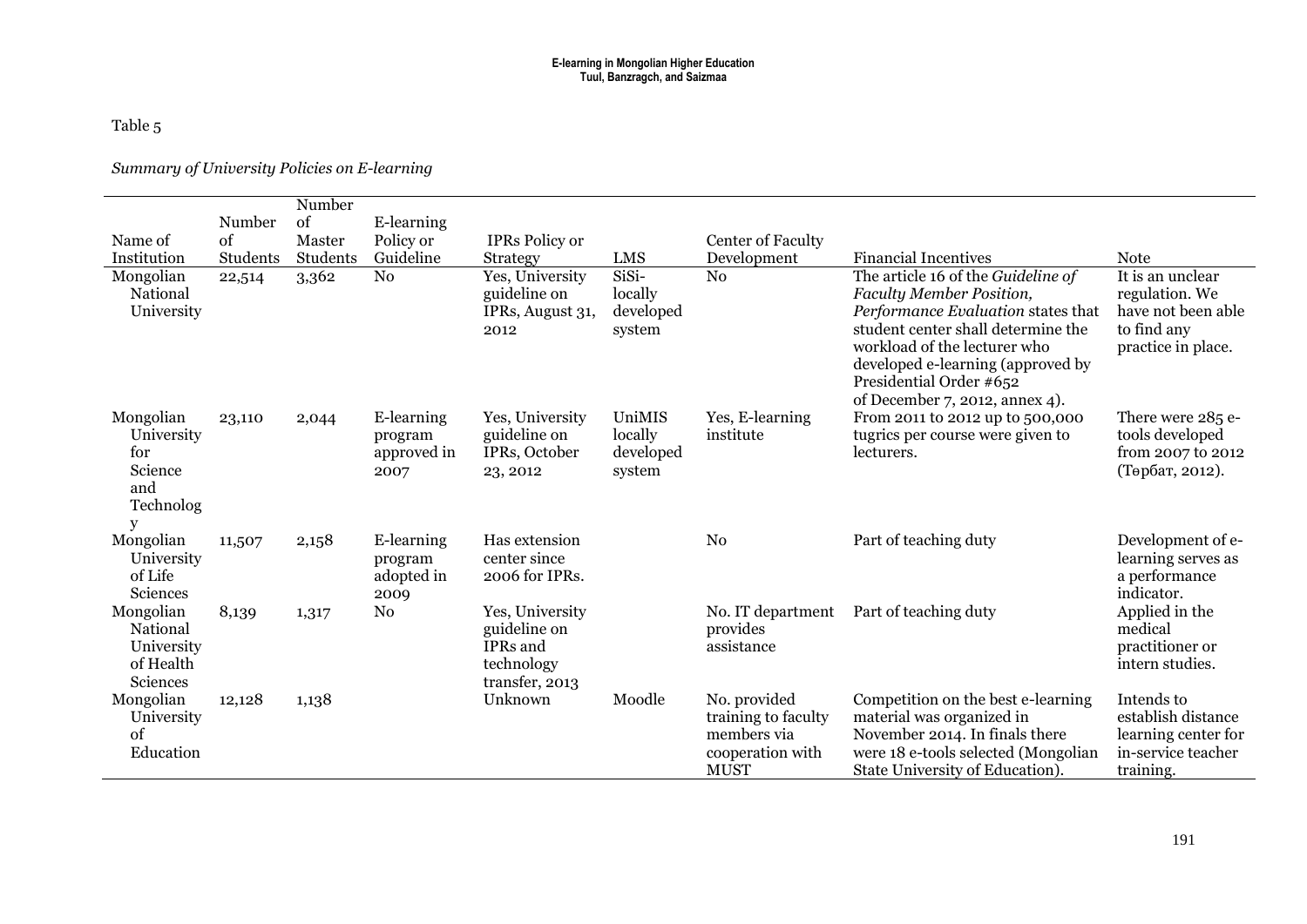### Table 5

#### *Summary of University Policies on E-learning*

|                                                                    |          | Number   |                                              |                                                                             |                                          |                                                                                       |                                                                                                                                                                                                                                                                              |                                                                                               |
|--------------------------------------------------------------------|----------|----------|----------------------------------------------|-----------------------------------------------------------------------------|------------------------------------------|---------------------------------------------------------------------------------------|------------------------------------------------------------------------------------------------------------------------------------------------------------------------------------------------------------------------------------------------------------------------------|-----------------------------------------------------------------------------------------------|
|                                                                    | Number   | of       | E-learning                                   |                                                                             |                                          |                                                                                       |                                                                                                                                                                                                                                                                              |                                                                                               |
| Name of                                                            | of       | Master   | Policy or                                    | <b>IPRs</b> Policy or                                                       |                                          | Center of Faculty                                                                     |                                                                                                                                                                                                                                                                              |                                                                                               |
| Institution                                                        | Students | Students | Guideline                                    | <b>Strategy</b>                                                             | <b>LMS</b>                               | Development                                                                           | <b>Financial Incentives</b>                                                                                                                                                                                                                                                  | <b>Note</b>                                                                                   |
| Mongolian<br>National<br>University                                | 22,514   | 3,362    | N <sub>0</sub>                               | Yes, University<br>guideline on<br>IPRs, August 31,<br>2012                 | SiSi-<br>locally<br>developed<br>system  | N <sub>0</sub>                                                                        | The article 16 of the Guideline of<br>Faculty Member Position,<br>Performance Evaluation states that<br>student center shall determine the<br>workload of the lecturer who<br>developed e-learning (approved by<br>Presidential Order #652<br>of December 7, 2012, annex 4). | It is an unclear<br>regulation. We<br>have not been able<br>to find any<br>practice in place. |
| Mongolian<br>University<br>for<br>Science<br>and<br>Technolog<br>y | 23,110   | 2,044    | E-learning<br>program<br>approved in<br>2007 | Yes, University<br>guideline on<br>IPRs, October<br>23, 2012                | UniMIS<br>locally<br>developed<br>system | Yes, E-learning<br>institute                                                          | From 2011 to 2012 up to 500,000<br>tugrics per course were given to<br>lecturers.                                                                                                                                                                                            | There were 285 e-<br>tools developed<br>from 2007 to 2012<br>(Төрбат, 2012).                  |
| Mongolian<br>University<br>of Life<br>Sciences                     | 11,507   | 2,158    | E-learning<br>program<br>adopted in<br>2009  | Has extension<br>center since<br>2006 for IPRs.                             |                                          | N <sub>0</sub>                                                                        | Part of teaching duty                                                                                                                                                                                                                                                        | Development of e-<br>learning serves as<br>a performance<br>indicator.                        |
| Mongolian<br>National<br>University<br>of Health<br>Sciences       | 8,139    | 1,317    | N <sub>0</sub>                               | Yes, University<br>guideline on<br>IPRs and<br>technology<br>transfer, 2013 |                                          | No. IT department<br>provides<br>assistance                                           | Part of teaching duty                                                                                                                                                                                                                                                        | Applied in the<br>medical<br>practitioner or<br>intern studies.                               |
| Mongolian<br>University<br>of<br>Education                         | 12,128   | 1,138    |                                              | Unknown                                                                     | Moodle                                   | No. provided<br>training to faculty<br>members via<br>cooperation with<br><b>MUST</b> | Competition on the best e-learning<br>material was organized in<br>November 2014. In finals there<br>were 18 e-tools selected (Mongolian<br>State University of Education).                                                                                                  | Intends to<br>establish distance<br>learning center for<br>in-service teacher<br>training.    |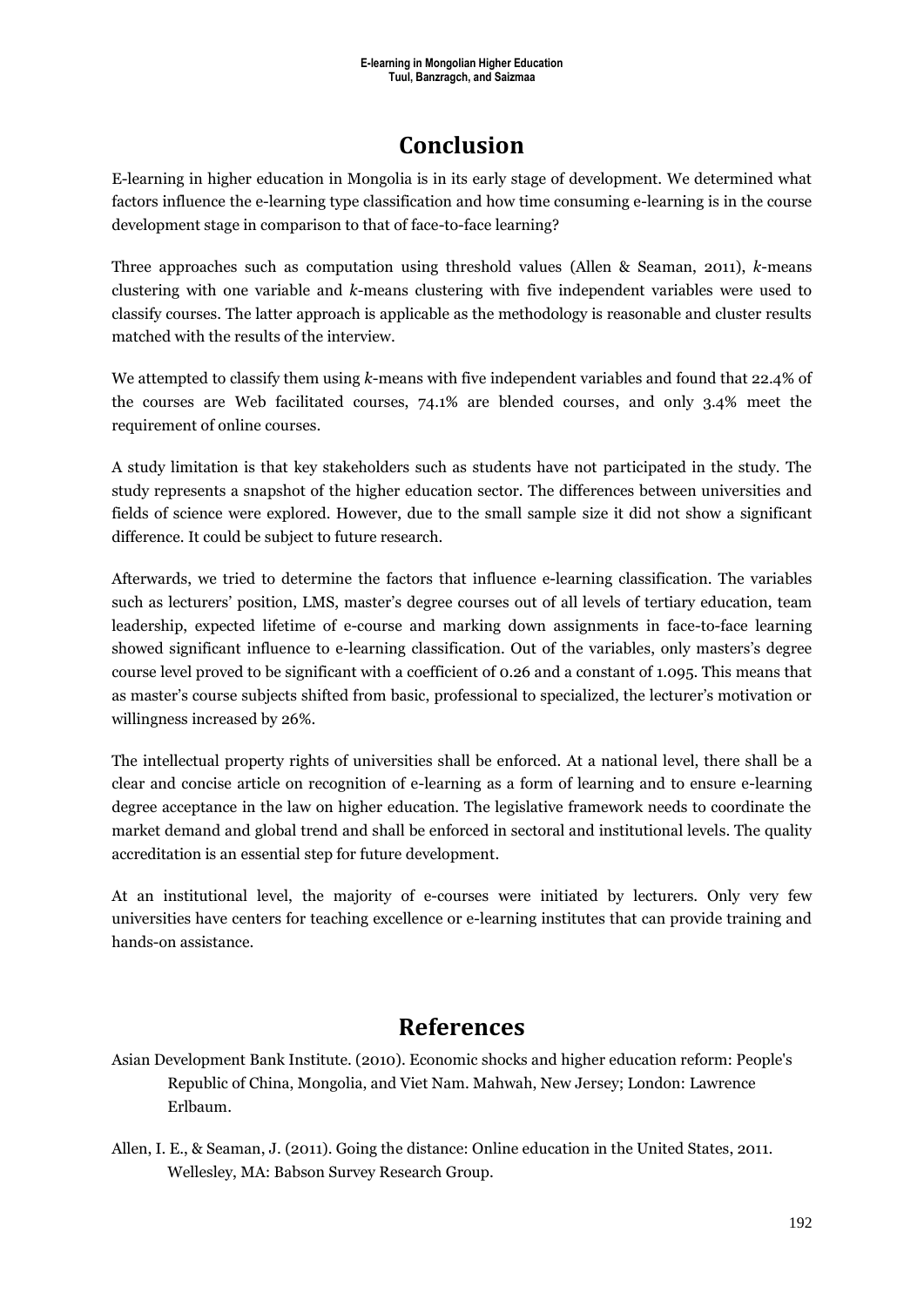## **Conclusion**

E-learning in higher education in Mongolia is in its early stage of development. We determined what factors influence the e-learning type classification and how time consuming e-learning is in the course development stage in comparison to that of face-to-face learning?

Three approaches such as computation using threshold values (Allen & Seaman, 2011), *k*-means clustering with one variable and *k*-means clustering with five independent variables were used to classify courses. The latter approach is applicable as the methodology is reasonable and cluster results matched with the results of the interview.

We attempted to classify them using *k*-means with five independent variables and found that 22.4% of the courses are Web facilitated courses, 74.1% are blended courses, and only 3.4% meet the requirement of online courses.

A study limitation is that key stakeholders such as students have not participated in the study. The study represents a snapshot of the higher education sector. The differences between universities and fields of science were explored. However, due to the small sample size it did not show a significant difference. It could be subject to future research.

Afterwards, we tried to determine the factors that influence e-learning classification. The variables such as lecturers' position, LMS, master's degree courses out of all levels of tertiary education, team leadership, expected lifetime of e-course and marking down assignments in face-to-face learning showed significant influence to e-learning classification. Out of the variables, only masters's degree course level proved to be significant with a coefficient of 0.26 and a constant of 1.095. This means that as master's course subjects shifted from basic, professional to specialized, the lecturer's motivation or willingness increased by 26%.

The intellectual property rights of universities shall be enforced. At a national level, there shall be a clear and concise article on recognition of e-learning as a form of learning and to ensure e-learning degree acceptance in the law on higher education. The legislative framework needs to coordinate the market demand and global trend and shall be enforced in sectoral and institutional levels. The quality accreditation is an essential step for future development.

At an institutional level, the majority of e-courses were initiated by lecturers. Only very few universities have centers for teaching excellence or e-learning institutes that can provide training and hands-on assistance.

## **References**

- Asian Development Bank Institute. (2010). Economic shocks and higher education reform: People's Republic of China, Mongolia, and Viet Nam. Mahwah, New Jersey; London: Lawrence Erlbaum.
- Allen, I. E., & Seaman, J. (2011). Going the distance: Online education in the United States, 2011. Wellesley, MA: Babson Survey Research Group.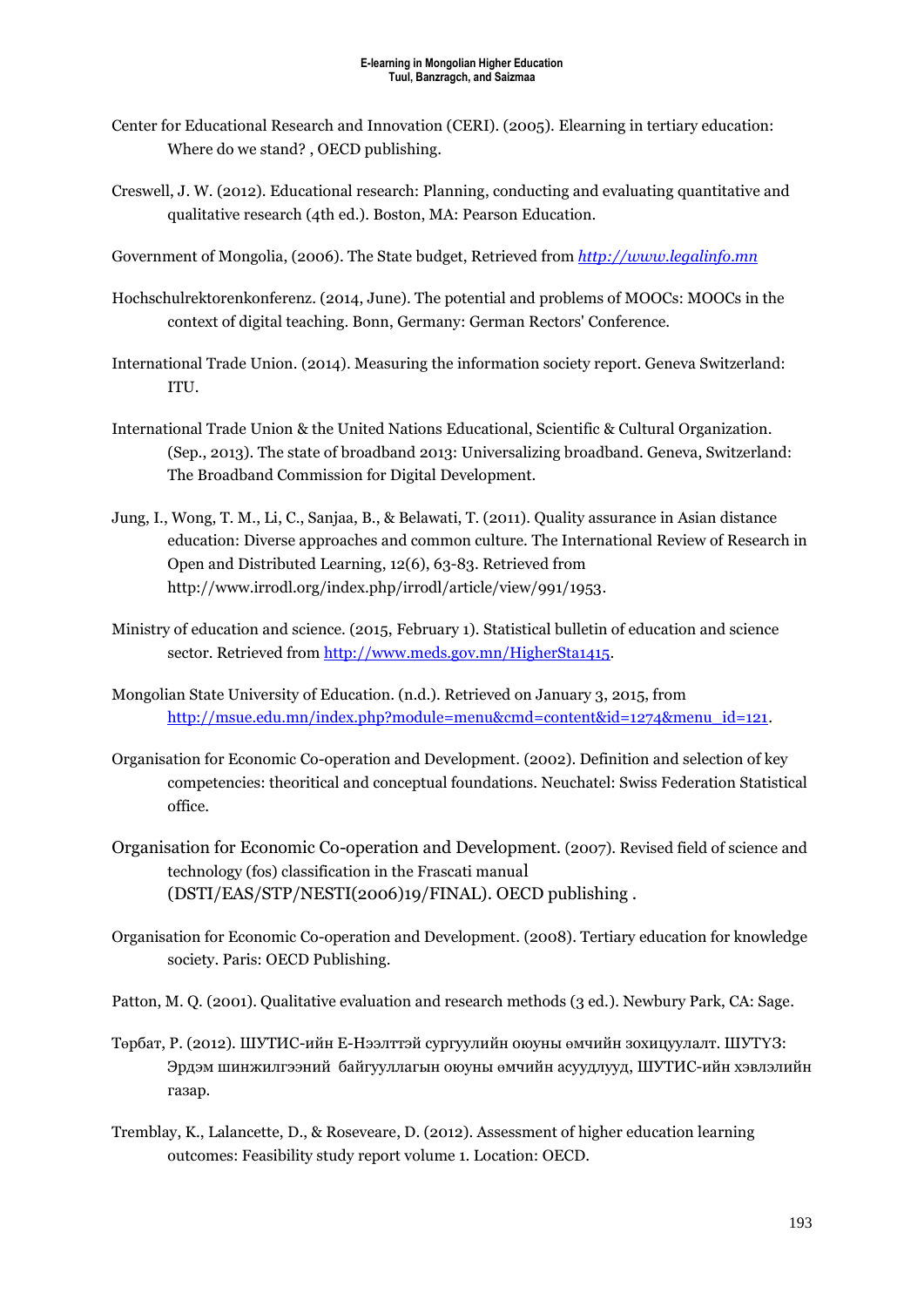- Center for Educational Research and Innovation (CERI). (2005). Elearning in tertiary education: Where do we stand? , OECD publishing.
- Creswell, J. W. (2012). Educational research: Planning, conducting and evaluating quantitative and qualitative research (4th ed.). Boston, MA: Pearson Education.
- Government of Mongolia, (2006). The State budget, Retrieved from *[http://www.legalinfo.mn](http://www.legalinfo.mn/)*
- Hochschulrektorenkonferenz. (2014, June). The potential and problems of MOOCs: MOOCs in the context of digital teaching. Bonn, Germany: German Rectors' Conference.
- International Trade Union. (2014). Measuring the information society report. Geneva Switzerland: ITU.
- International Trade Union & the United Nations Educational, Scientific & Cultural Organization. (Sep., 2013). The state of broadband 2013: Universalizing broadband. Geneva, Switzerland: The Broadband Commission for Digital Development.
- Jung, I., Wong, T. M., Li, C., Sanjaa, B., & Belawati, T. (2011). Quality assurance in Asian distance education: Diverse approaches and common culture. The International Review of Research in Open and Distributed Learning, 12(6), 63-83. Retrieved from [http://www.irrodl.org/index.php/irrodl/article/view/991/1953.](http://www.irrodl.org/index.php/irrodl/article/view/991/1953)
- Ministry of education and science. (2015, February 1). Statistical bulletin of education and science sector. Retrieved from [http://www.meds.gov.mn/HigherSta1415.](http://www.meds.gov.mn/HigherSta1415)
- Mongolian State University of Education. (n.d.). Retrieved on January 3, 2015, from [http://msue.edu.mn/index.php?module=menu&cmd=content&id=1274&menu\\_id=121.](http://msue.edu.mn/index.php?module=menu&cmd=content&id=1274&menu_id=121)
- Organisation for Economic Co-operation and Development. (2002). Definition and selection of key competencies: theoritical and conceptual foundations. Neuchatel: Swiss Federation Statistical office.
- Organisation for Economic Co-operation and Development. (2007). Revised field of science and technology (fos) classification in the Frascati manual (DSTI/EAS/STP/NESTI(2006)19/FINAL). OECD publishing .
- Organisation for Economic Co-operation and Development. (2008). Tertiary education for knowledge society. Paris: OECD Publishing.
- Patton, M. Q. (2001). Qualitative evaluation and research methods (3 ed.). Newbury Park, CA: Sage.
- Төрбат, P. (2012). ШУТИС-ийн E-Нээлттэй сургуулийн оюуны өмчийн зохицуулалт. ШУТҮЗ: Эрдэм шинжилгээний байгууллагын оюуны өмчийн асуудлууд, ШУТИС-ийн хэвлэлийн газар.
- Tremblay, K., Lalancette, D., & Roseveare, D. (2012). Assessment of higher education learning outcomes: Feasibility study report volume 1. Location: OECD.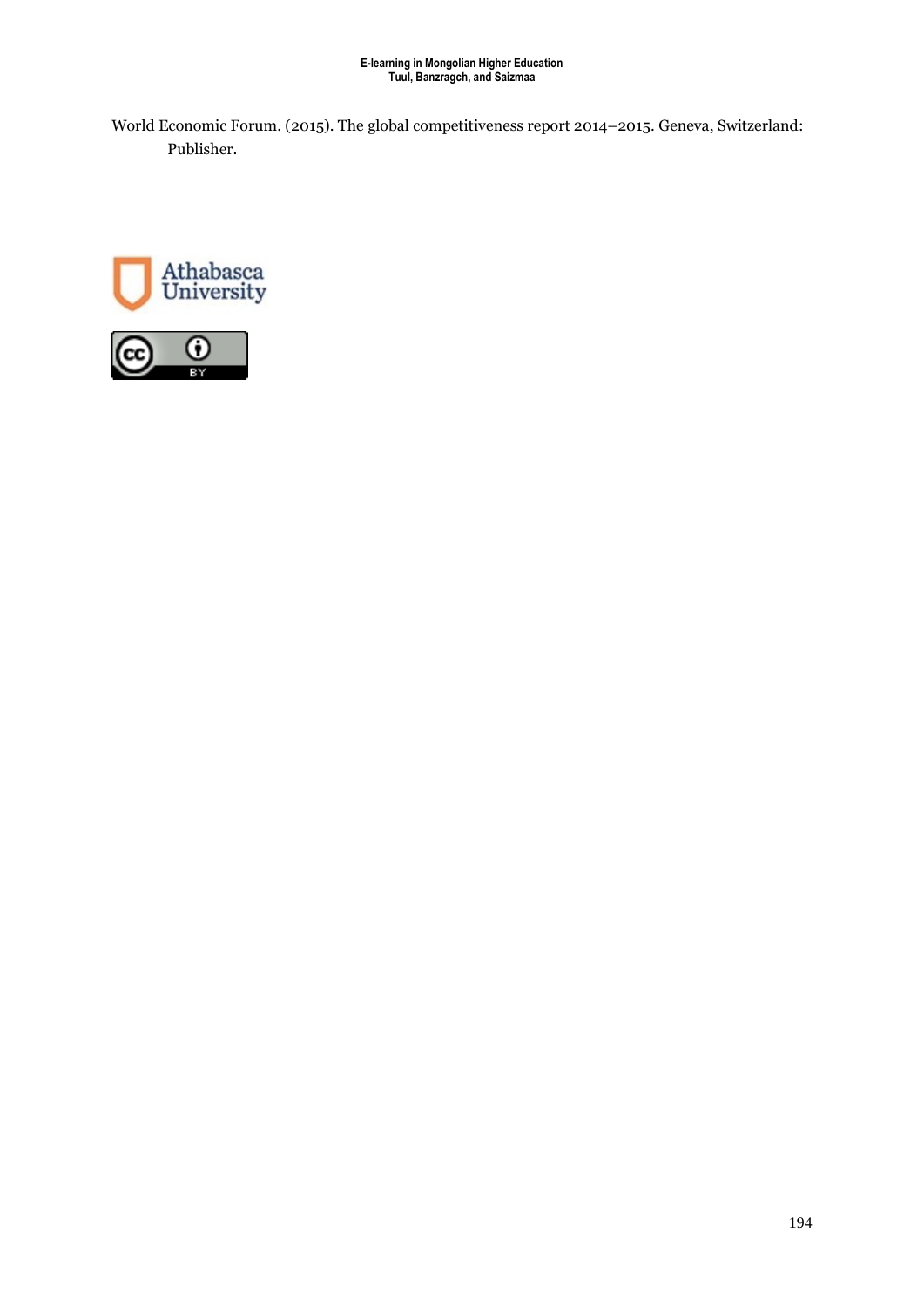World Economic Forum. (2015). The global competitiveness report 2014–2015. Geneva, Switzerland: Publisher.



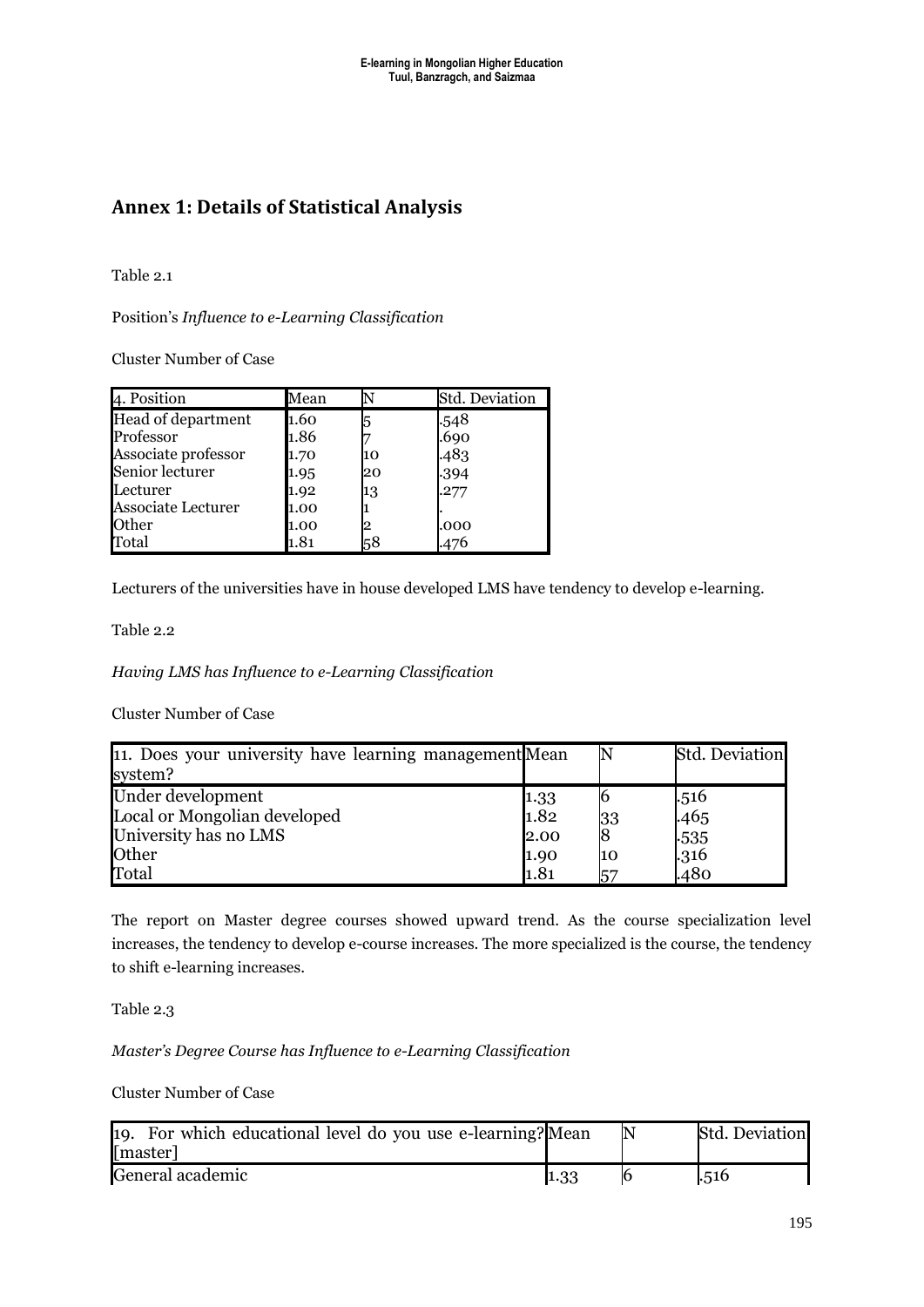## **Annex 1: Details of Statistical Analysis**

Table 2.1

Position's *Influence to e-Learning Classification*

Cluster Number of Case

| 4. Position         | Mean |    | <b>Std. Deviation</b> |
|---------------------|------|----|-----------------------|
| Head of department  | 1.60 | 5  |                       |
| Professor           | 1.86 |    | .548<br>.690          |
| Associate professor | 1.70 | 10 | .483                  |
| Senior lecturer     | 1.95 | 20 | .394                  |
| Lecturer            | 1.92 | 13 | .277                  |
| Associate Lecturer  | 1.00 |    |                       |
| Other               | 1.00 | '2 | .000                  |
| Total               | 1.81 | 58 | .476                  |

Lecturers of the universities have in house developed LMS have tendency to develop e-learning.

Table 2.2

*Having LMS has Influence to e-Learning Classification*

Cluster Number of Case

| 11. Does your university have learning management Mean<br>system? |                                             |           | Std. Deviation |
|-------------------------------------------------------------------|---------------------------------------------|-----------|----------------|
| Under development                                                 | $\begin{array}{c} 1.33 \\ 1.82 \end{array}$ |           | .516           |
| Local or Mongolian developed                                      |                                             | 33        | .465           |
| University has no LMS                                             | 2.00                                        | l8        | $-535$         |
| Other                                                             | 1.90                                        | 10        | $-316$         |
| Total                                                             | 1.81                                        | <b>57</b> | .480           |

The report on Master degree courses showed upward trend. As the course specialization level increases, the tendency to develop e-course increases. The more specialized is the course, the tendency to shift e-learning increases.

Table 2.3

*Master's Degree Course has Influence to e-Learning Classification* 

Cluster Number of Case

| 19. For which educational level do you use e-learning? Mean<br>[master] |      | <b>Std. Deviation</b> |
|-------------------------------------------------------------------------|------|-----------------------|
| General academic                                                        | 1.33 | .516                  |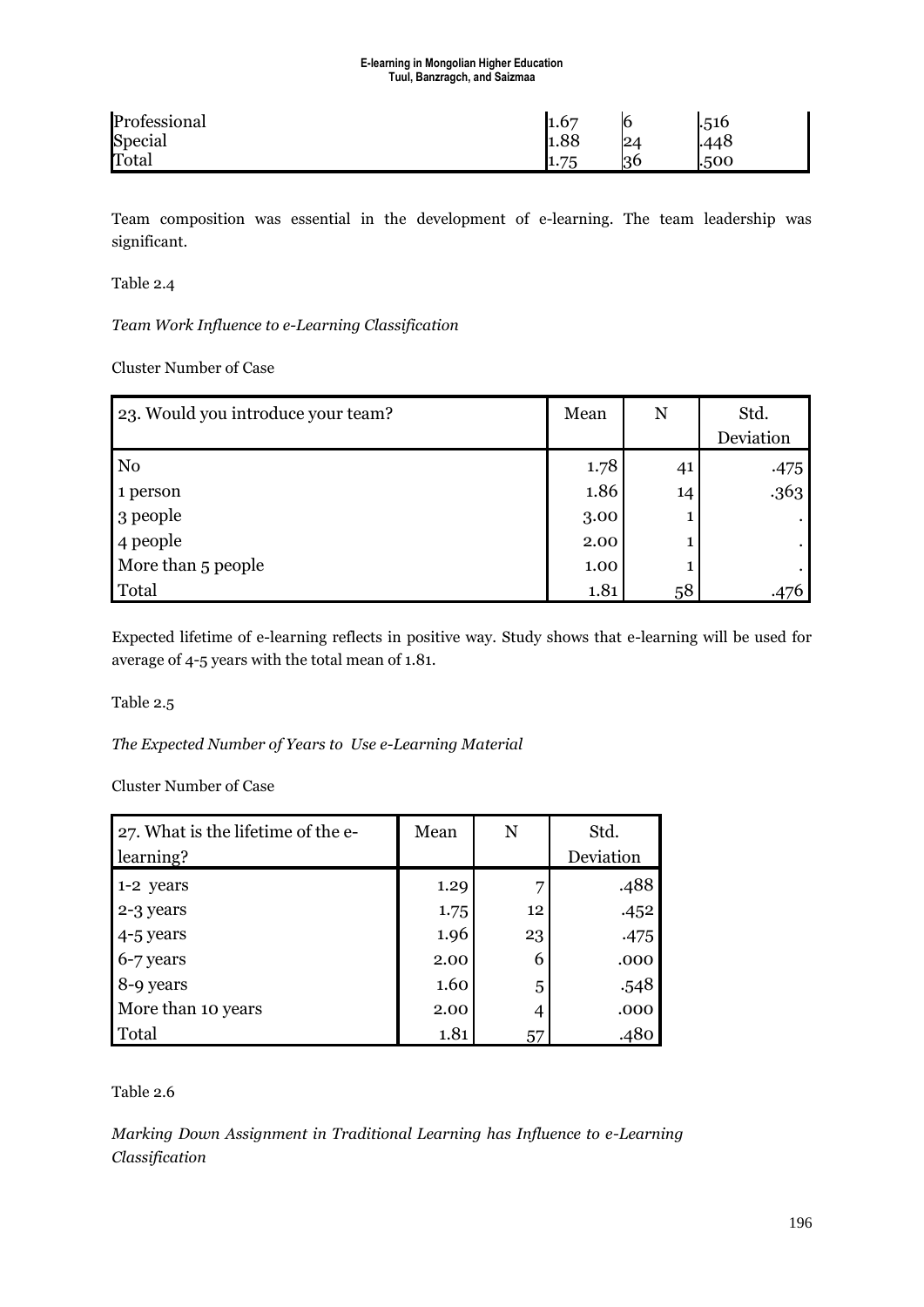| Professional | 1.67       | 16 | .516 |  |
|--------------|------------|----|------|--|
| Special      | 1.88       | 24 | 448  |  |
| Total        | 75<br>1.75 | 36 | .500 |  |

Team composition was essential in the development of e-learning. The team leadership was significant.

Table 2.4

*Team Work Influence to e-Learning Classification* 

Cluster Number of Case

| 23. Would you introduce your team? | Mean | N  | Std.      |
|------------------------------------|------|----|-----------|
|                                    |      |    | Deviation |
| N <sub>0</sub>                     | 1.78 | 41 | .475      |
| 1 person                           | 1.86 | 14 | .363      |
| 3 people                           | 3.00 |    |           |
| 4 people                           | 2.00 |    |           |
| More than 5 people                 | 1.00 |    |           |
| Total                              | 1.81 | 58 |           |

Expected lifetime of e-learning reflects in positive way. Study shows that e-learning will be used for average of 4-5 years with the total mean of 1.81.

Table 2.5

*The Expected Number of Years to Use e-Learning Material* 

Cluster Number of Case

| 27. What is the lifetime of the e- | Mean | N  | Std.      |
|------------------------------------|------|----|-----------|
| learning?                          |      |    | Deviation |
| 1-2 years                          | 1.29 |    | .488      |
| 2-3 years                          | 1.75 | 12 | .452      |
| 4-5 years                          | 1.96 | 23 | .475      |
| 6-7 years                          | 2.00 | 6  | .000      |
| 8-9 years                          | 1.60 | 5  | .548      |
| More than 10 years                 | 2.00 | 4  | .000      |
| Total                              | 1.81 | 57 | .480      |

Table 2.6

*Marking Down Assignment in Traditional Learning has Influence to e-Learning Classification*